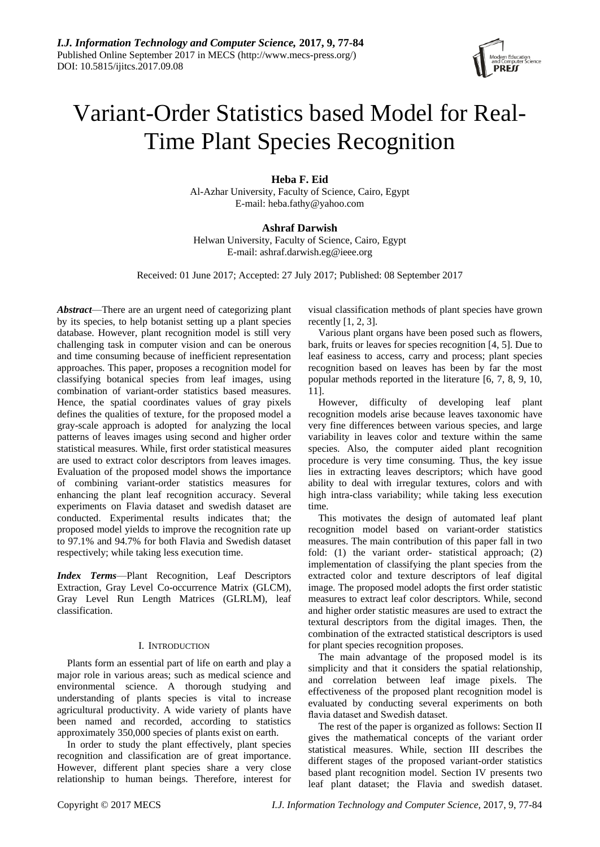

# Variant-Order Statistics based Model for Real-Time Plant Species Recognition

**Heba F. Eid** Al-Azhar University, Faculty of Science, Cairo, Egypt E-mail: heba.fat[hy@yahoo.com](mailto:y@yahoo.com)

**Ashraf Darwish** Helwan University, Faculty of Science, Cairo, Egypt E-mail: [ashraf.darwish.eg@ieee.org](mailto:ashraf.darwish.eg@ieee.org)

Received: 01 June 2017; Accepted: 27 July 2017; Published: 08 September 2017

*Abstract*—There are an urgent need of categorizing plant by its species, to help botanist setting up a plant species database. However, plant recognition model is still very challenging task in computer vision and can be onerous and time consuming because of inefficient representation approaches. This paper, proposes a recognition model for classifying botanical species from leaf images, using combination of variant-order statistics based measures. Hence, the spatial coordinates values of gray pixels defines the qualities of texture, for the proposed model a gray-scale approach is adopted for analyzing the local patterns of leaves images using second and higher order statistical measures. While, first order statistical measures are used to extract color descriptors from leaves images. Evaluation of the proposed model shows the importance of combining variant-order statistics measures for enhancing the plant leaf recognition accuracy. Several experiments on Flavia dataset and swedish dataset are conducted. Experimental results indicates that; the proposed model yields to improve the recognition rate up to 97.1% and 94.7% for both Flavia and Swedish dataset respectively; while taking less execution time.

*Index Terms*—Plant Recognition, Leaf Descriptors Extraction, Gray Level Co-occurrence Matrix (GLCM), Gray Level Run Length Matrices (GLRLM), leaf classification.

### I. INTRODUCTION

Plants form an essential part of life on earth and play a major role in various areas; such as medical science and environmental science. A thorough studying and understanding of plants species is vital to increase agricultural productivity. A wide variety of plants have been named and recorded, according to statistics approximately 350,000 species of plants exist on earth.

In order to study the plant effectively, plant species recognition and classification are of great importance. However, different plant species share a very close relationship to human beings. Therefore, interest for visual classification methods of plant species have grown recently [1, 2, 3].

Various plant organs have been posed such as flowers, bark, fruits or leaves for species recognition [4, 5]. Due to leaf easiness to access, carry and process; plant species recognition based on leaves has been by far the most popular methods reported in the literature [6, 7, 8, 9, 10, 11].

However, difficulty of developing leaf plant recognition models arise because leaves taxonomic have very fine differences between various species, and large variability in leaves color and texture within the same species. Also, the computer aided plant recognition procedure is very time consuming. Thus, the key issue lies in extracting leaves descriptors; which have good ability to deal with irregular textures, colors and with high intra-class variability; while taking less execution time.

This motivates the design of automated leaf plant recognition model based on variant-order statistics measures. The main contribution of this paper fall in two fold: (1) the variant order- statistical approach; (2) implementation of classifying the plant species from the extracted color and texture descriptors of leaf digital image. The proposed model adopts the first order statistic measures to extract leaf color descriptors. While, second and higher order statistic measures are used to extract the textural descriptors from the digital images. Then, the combination of the extracted statistical descriptors is used for plant species recognition proposes.

The main advantage of the proposed model is its simplicity and that it considers the spatial relationship, and correlation between leaf image pixels. The effectiveness of the proposed plant recognition model is evaluated by conducting several experiments on both flavia dataset and Swedish dataset.

The rest of the paper is organized as follows: Section II gives the mathematical concepts of the variant order statistical measures. While, section III describes the different stages of the proposed variant-order statistics based plant recognition model. Section IV presents two leaf plant dataset; the Flavia and swedish dataset.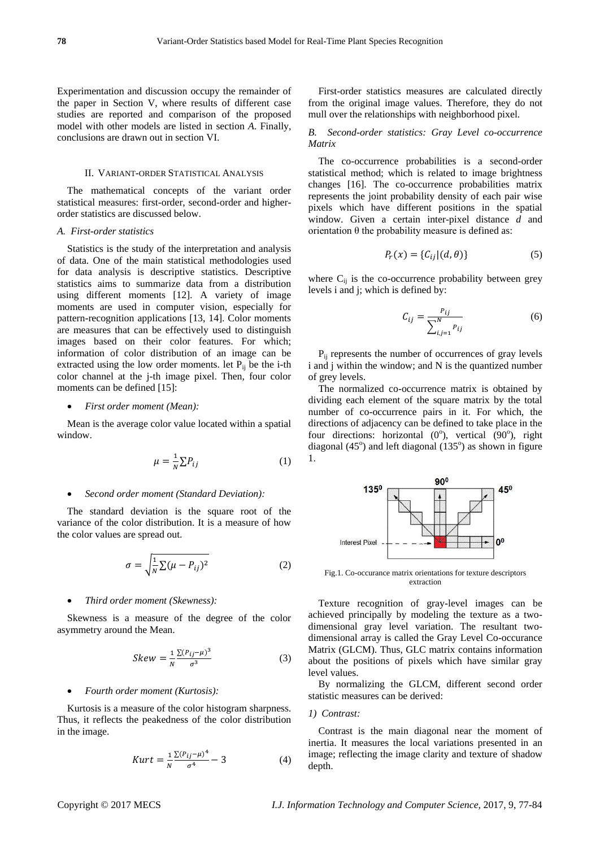Experimentation and discussion occupy the remainder of the paper in Section V, where results of different case studies are reported and comparison of the proposed model with other models are listed in section *A*. Finally, conclusions are drawn out in section VI.

# II. VARIANT-ORDER STATISTICAL ANALYSIS

The mathematical concepts of the variant order statistical measures: first-order, second-order and higherorder statistics are discussed below.

#### *A. First-order statistics*

Statistics is the study of the interpretation and analysis of data. One of the main statistical methodologies used for data analysis is descriptive statistics. Descriptive statistics aims to summarize data from a distribution using different moments [12]. A variety of image moments are used in computer vision, especially for pattern-recognition applications [13, 14]. Color moments are measures that can be effectively used to distinguish images based on their color features. For which; information of color distribution of an image can be extracted using the low order moments. let  $P_{ij}$  be the i-th color channel at the j-th image pixel. Then, four color moments can be defined [15]:

#### *First order moment (Mean):*

Mean is the average color value located within a spatial window.

$$
\mu = \frac{1}{N} \sum P_{ij} \tag{1}
$$

#### *Second order moment (Standard Deviation):*

The standard deviation is the square root of the variance of the color distribution. It is a measure of how the color values are spread out.

$$
\sigma = \sqrt{\frac{1}{N} \sum (\mu - P_{ij})^2}
$$
 (2)

#### *Third order moment (Skewness):*

Skewness is a measure of the degree of the color asymmetry around the Mean.

$$
Skew = \frac{1}{N} \frac{\sum (P_{ij} - \mu)^3}{\sigma^3} \tag{3}
$$

#### *Fourth order moment (Kurtosis):*

Kurtosis is a measure of the color histogram sharpness. Thus, it reflects the peakedness of the color distribution in the image.

$$
Kurt = \frac{1}{N} \frac{\sum (P_{ij} - \mu)^4}{\sigma^4} - 3
$$
 (4)

First-order statistics measures are calculated directly from the original image values. Therefore, they do not mull over the relationships with neighborhood pixel.

## *B. Second-order statistics: Gray Level co-occurrence Matrix*

The co-occurrence probabilities is a second-order statistical method; which is related to image brightness changes [16]. The co-occurrence probabilities matrix represents the joint probability density of each pair wise pixels which have different positions in the spatial window. Given a certain inter-pixel distance *d* and orientation θ the probability measure is defined as:

$$
P_r(x) = \{C_{ij} | (d, \theta)\}\tag{5}
$$

where  $C_{ij}$  is the co-occurrence probability between grey levels i and j; which is defined by:

$$
C_{ij} = \frac{P_{ij}}{\sum_{i,j=1}^{N} P_{ij}}
$$
 (6)

Pij represents the number of occurrences of gray levels i and j within the window; and N is the quantized number of grey levels.

The normalized co-occurrence matrix is obtained by dividing each element of the square matrix by the total number of co-occurrence pairs in it. For which, the directions of adjacency can be defined to take place in the four directions: horizontal  $(0^{\degree})$ , vertical  $(90^{\degree})$ , right diagonal  $(45^{\circ})$  and left diagonal  $(135^{\circ})$  as shown in figure 1.



Fig.1. Co-occurance matrix orientations for texture descriptors extraction

Texture recognition of gray-level images can be achieved principally by modeling the texture as a twodimensional gray level variation. The resultant twodimensional array is called the Gray Level Co-occurance Matrix (GLCM). Thus, GLC matrix contains information about the positions of pixels which have similar gray level values.

By normalizing the GLCM, different second order statistic measures can be derived:

#### *1) Contrast:*

Contrast is the main diagonal near the moment of inertia. It measures the local variations presented in an image; reflecting the image clarity and texture of shadow depth.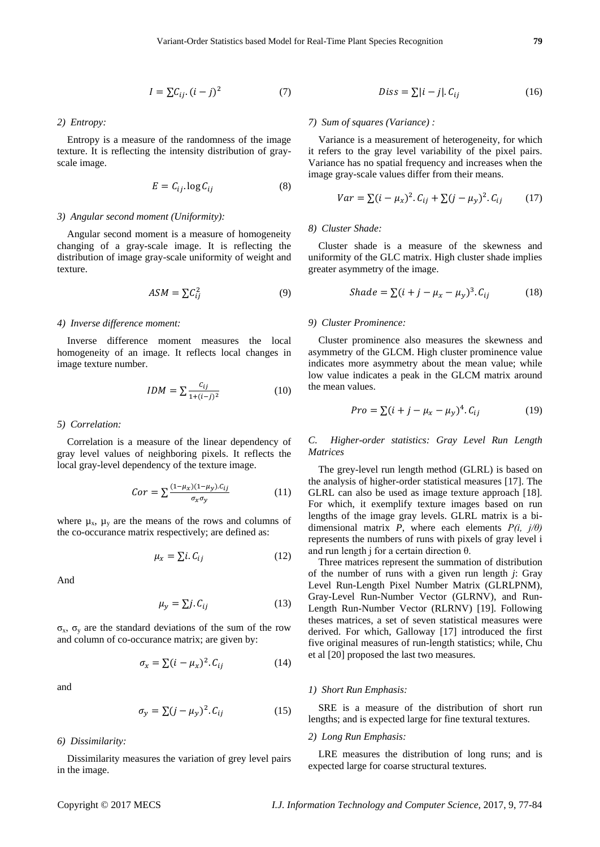$$
I = \sum C_{ij} (i - j)^2 \tag{7}
$$

*2) Entropy:*

Entropy is a measure of the randomness of the image texture. It is reflecting the intensity distribution of grayscale image.

$$
E = C_{ij} \log C_{ij} \tag{8}
$$

#### *3) Angular second moment (Uniformity):*

Angular second moment is a measure of homogeneity changing of a gray-scale image. It is reflecting the distribution of image gray-scale uniformity of weight and texture.

$$
ASM = \sum C_{ij}^2 \tag{9}
$$

#### *4) Inverse difference moment:*

Inverse difference moment measures the local homogeneity of an image. It reflects local changes in image texture number.

$$
IDM = \sum \frac{c_{ij}}{1 + (i - j)^2}
$$
 (10)

#### *5) Correlation:*

Correlation is a measure of the linear dependency of gray level values of neighboring pixels. It reflects the local gray-level dependency of the texture image.

$$
Cor = \sum \frac{(1 - \mu_X)(1 - \mu_Y).c_{ij}}{\sigma_X \sigma_Y} \tag{11}
$$

where  $\mu_x$ ,  $\mu_y$  are the means of the rows and columns of the co-occurance matrix respectively; are defined as:

$$
\mu_x = \sum i. C_{ij} \tag{12}
$$

And

$$
\mu_{\nu} = \sum j. C_{ij} \tag{13}
$$

σx, σ<sup>y</sup> are the standard deviations of the sum of the row and column of co-occurance matrix; are given by:

$$
\sigma_x = \sum (i - \mu_x)^2 C_{ij} \tag{14}
$$

and

$$
\sigma_{\rm v} = \sum (j - \mu_{\rm v})^2 \cdot C_{ij} \tag{15}
$$

#### *6) Dissimilarity:*

Dissimilarity measures the variation of grey level pairs in the image.

#### *7) Sum of squares (Variance) :*

Variance is a measurement of heterogeneity, for which it refers to the gray level variability of the pixel pairs. Variance has no spatial frequency and increases when the image gray-scale values differ from their means.

$$
Var = \sum (i - \mu_x)^2 \cdot C_{ij} + \sum (j - \mu_y)^2 \cdot C_{ij} \tag{17}
$$

#### *8) Cluster Shade:*

Cluster shade is a measure of the skewness and uniformity of the GLC matrix. High cluster shade implies greater asymmetry of the image.

$$
Shade = \sum (i + j - \mu_x - \mu_y)^3 \, C_{ij} \tag{18}
$$

#### *9) Cluster Prominence:*

Cluster prominence also measures the skewness and asymmetry of the GLCM. High cluster prominence value indicates more asymmetry about the mean value; while low value indicates a peak in the GLCM matrix around the mean values.

$$
Pro = \sum (i + j - \mu_x - \mu_v)^4 \cdot C_{ij}
$$
 (19)

*C. Higher-order statistics: Gray Level Run Length Matrices*

The grey-level run length method (GLRL) is based on the analysis of higher-order statistical measures [17]. The GLRL can also be used as image texture approach [18]. For which, it exemplify texture images based on run lengths of the image gray levels. GLRL matrix is a bidimensional matrix *P*, where each elements *P(i, j/θ)* represents the numbers of runs with pixels of gray level i and run length j for a certain direction θ.

Three matrices represent the summation of distribution of the number of runs with a given run length *j*: Gray Level Run-Length Pixel Number Matrix (GLRLPNM), Gray-Level Run-Number Vector (GLRNV), and Run-Length Run-Number Vector (RLRNV) [19]. Following theses matrices, a set of seven statistical measures were derived. For which, Galloway [17] introduced the first five original measures of run-length statistics; while, Chu et al [20] proposed the last two measures.

#### *1) Short Run Emphasis:*

SRE is a measure of the distribution of short run lengths; and is expected large for fine textural textures.

#### *2) Long Run Emphasis:*

LRE measures the distribution of long runs; and is expected large for coarse structural textures.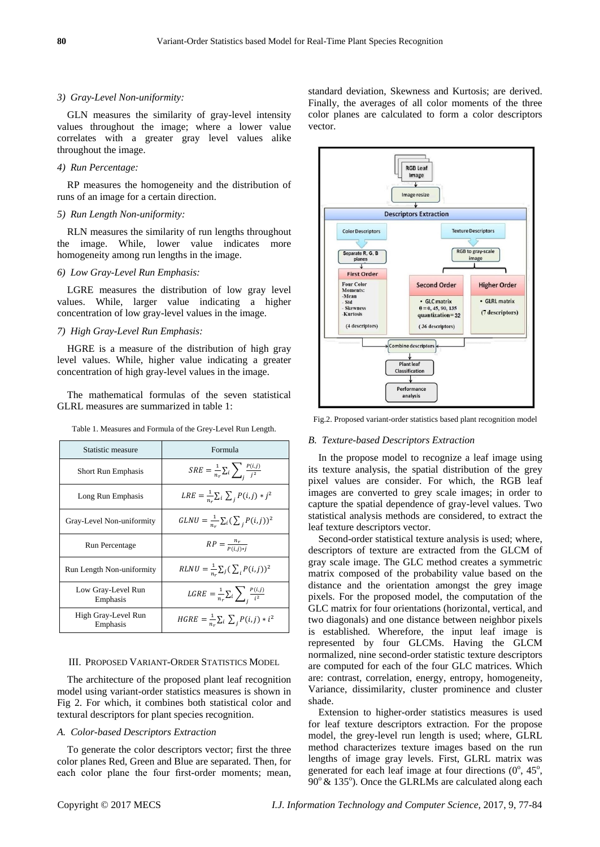#### *3) Gray-Level Non-uniformity:*

GLN measures the similarity of gray-level intensity values throughout the image; where a lower value correlates with a greater gray level values alike throughout the image.

#### *4) Run Percentage:*

RP measures the homogeneity and the distribution of runs of an image for a certain direction.

#### *5) Run Length Non-uniformity:*

RLN measures the similarity of run lengths throughout the image. While, lower value indicates more homogeneity among run lengths in the image.

## *6) Low Gray-Level Run Emphasis:*

LGRE measures the distribution of low gray level values. While, larger value indicating a higher concentration of low gray-level values in the image.

#### *7) High Gray-Level Run Emphasis:*

HGRE is a measure of the distribution of high gray level values. While, higher value indicating a greater concentration of high gray-level values in the image.

The mathematical formulas of the seven statistical GLRL measures are summarized in table 1:

Table 1. Measures and Formula of the Grey-Level Run Length.

| Statistic measure               | Formula                                                 |
|---------------------------------|---------------------------------------------------------|
| Short Run Emphasis              | $SRE = \frac{1}{n_r} \sum_i \sum_i \frac{P(i,j)}{j^2}$  |
| Long Run Emphasis               | $LRE = \frac{1}{n_x} \sum_i \sum_j P(i,j) * j^2$        |
| Gray-Level Non-uniformity       | $GLNU = \frac{1}{n_a} \sum_i (\sum_j P(i,j))^2$         |
| Run Percentage                  | $RP = \frac{n_r}{P(i,i)*i}$                             |
| Run Length Non-uniformity       | $RLNU = \frac{1}{n_e} \sum_j (\sum_i P(i,j))^2$         |
| Low Gray-Level Run<br>Emphasis  | $LGRE = \frac{1}{n_r} \sum_i \sum_i \frac{P(i,j)}{i^2}$ |
| High Gray-Level Run<br>Emphasis | $HGRE = \frac{1}{n} \sum_i \sum_j P(i,j) * i^2$         |

#### III. PROPOSED VARIANT-ORDER STATISTICS MODEL

The architecture of the proposed plant leaf recognition model using variant-order statistics measures is shown in Fig 2. For which, it combines both statistical color and textural descriptors for plant species recognition.

### *A. Color-based Descriptors Extraction*

To generate the color descriptors vector; first the three color planes Red, Green and Blue are separated. Then, for each color plane the four first-order moments; mean,



Fig.2. Proposed variant-order statistics based plant recognition model

#### *B. Texture-based Descriptors Extraction*

In the propose model to recognize a leaf image using its texture analysis, the spatial distribution of the grey pixel values are consider. For which, the RGB leaf images are converted to grey scale images; in order to capture the spatial dependence of gray-level values. Two statistical analysis methods are considered, to extract the leaf texture descriptors vector.

Second-order statistical texture analysis is used; where, descriptors of texture are extracted from the GLCM of gray scale image. The GLC method creates a symmetric matrix composed of the probability value based on the distance and the orientation amongst the grey image pixels. For the proposed model, the computation of the GLC matrix for four orientations (horizontal, vertical, and two diagonals) and one distance between neighbor pixels is established. Wherefore, the input leaf image is represented by four GLCMs. Having the GLCM normalized, nine second-order statistic texture descriptors are computed for each of the four GLC matrices. Which are: contrast, correlation, energy, entropy, homogeneity, Variance, dissimilarity, cluster prominence and cluster shade.

Extension to higher-order statistics measures is used for leaf texture descriptors extraction. For the propose model, the grey-level run length is used; where, GLRL method characterizes texture images based on the run lengths of image gray levels. First, GLRL matrix was generated for each leaf image at four directions  $(0^{\circ}, 45^{\circ})$ ,  $90^\circ \& 135^\circ$ ). Once the GLRLMs are calculated along each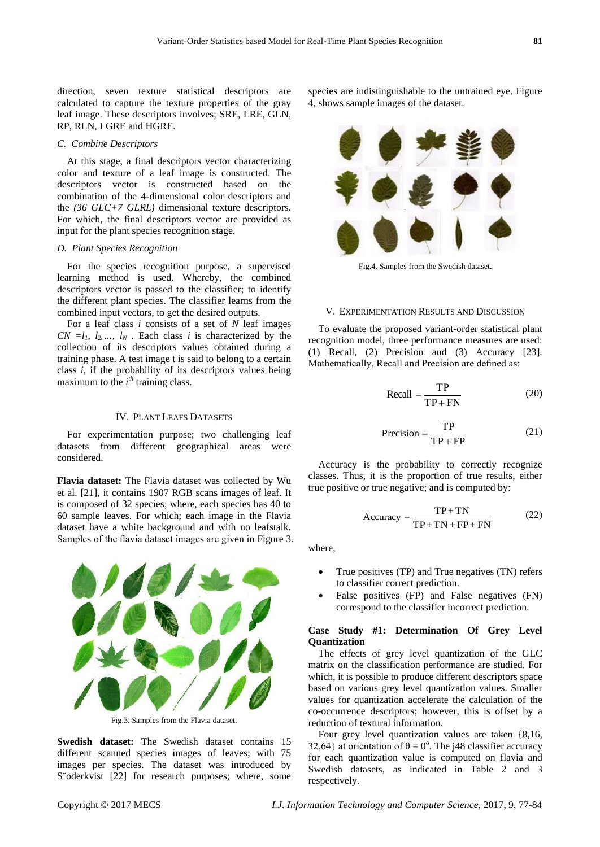direction, seven texture statistical descriptors are calculated to capture the texture properties of the gray leaf image. These descriptors involves; SRE, LRE, GLN, RP, RLN, LGRE and HGRE.

#### *C. Combine Descriptors*

At this stage, a final descriptors vector characterizing color and texture of a leaf image is constructed. The descriptors vector is constructed based on the combination of the 4-dimensional color descriptors and the *(36 GLC+7 GLRL)* dimensional texture descriptors. For which, the final descriptors vector are provided as input for the plant species recognition stage.

#### *D. Plant Species Recognition*

For the species recognition purpose, a supervised learning method is used. Whereby, the combined descriptors vector is passed to the classifier; to identify the different plant species. The classifier learns from the combined input vectors, to get the desired outputs.

For a leaf class *i* consists of a set of *N* leaf images  $CN = l_1, l_2, \ldots, l_N$ . Each class *i* is characterized by the collection of its descriptors values obtained during a training phase. A test image t is said to belong to a certain class *i*, if the probability of its descriptors values being maximum to the  $i<sup>th</sup>$  training class.

#### IV. PLANT LEAFS DATASETS

For experimentation purpose; two challenging leaf datasets from different geographical areas were considered.

**Flavia dataset:** The Flavia dataset was collected by Wu et al. [21], it contains 1907 RGB scans images of leaf. It is composed of 32 species; where, each species has 40 to 60 sample leaves. For which; each image in the Flavia dataset have a white background and with no leafstalk. Samples of the flavia dataset images are given in Figure 3.



Fig.3. Samples from the Flavia dataset.

**Swedish dataset:** The Swedish dataset contains 15 different scanned species images of leaves; with 75 images per species. The dataset was introduced by S oderkvist [22] for research purposes; where, some species are indistinguishable to the untrained eye. Figure 4, shows sample images of the dataset.



Fig.4. Samples from the Swedish dataset.

#### V. EXPERIMENTATION RESULTS AND DISCUSSION

To evaluate the proposed variant-order statistical plant recognition model, three performance measures are used: (1) Recall, (2) Precision and (3) Accuracy [23]. Mathematically, Recall and Precision are defined as:

$$
Recall = \frac{TP}{TP + FN}
$$
 (20)

$$
Precision = \frac{TP}{TP + FP}
$$
 (21)

Accuracy is the probability to correctly recognize classes. Thus, it is the proportion of true results, either true positive or true negative; and is computed by:

$$
Accuracy = \frac{TP + TN}{TP + TN + FP + FN}
$$
 (22)

where,

- True positives (TP) and True negatives (TN) refers to classifier correct prediction.
- False positives (FP) and False negatives (FN) correspond to the classifier incorrect prediction.

# **Case Study #1: Determination Of Grey Level Quantization**

The effects of grey level quantization of the GLC matrix on the classification performance are studied. For which, it is possible to produce different descriptors space based on various grey level quantization values. Smaller values for quantization accelerate the calculation of the co-occurrence descriptors; however, this is offset by a reduction of textural information.

Four grey level quantization values are taken {8,16, 32,64} at orientation of  $\theta = 0^\circ$ . The j48 classifier accuracy for each quantization value is computed on flavia and Swedish datasets, as indicated in Table 2 and 3 respectively.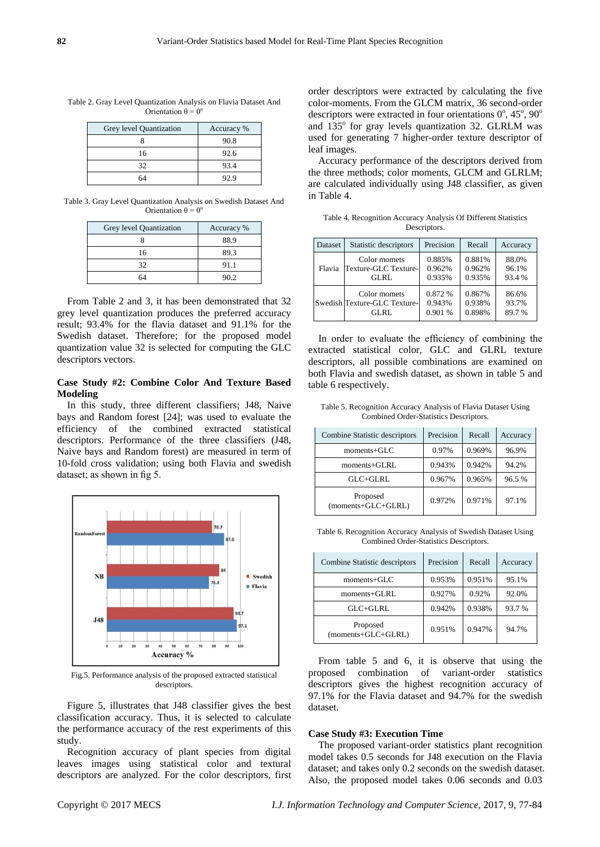| Grey level Quantization | Accuracy % |
|-------------------------|------------|
|                         | 90.8       |
| 16                      | 92.6       |
| 32                      | 93.4       |
|                         | 92.9       |

Table 2. Gray Level Quantization Analysis on Flavia Dataset And Orientation  $\theta = 0^\circ$ 

Table 3. Gray Level Quantization Analysis on Swedish Dataset And Orientation  $\theta = 0^{\circ}$ 

| Grey level Quantization | Accuracy % |
|-------------------------|------------|
|                         | 88.9       |
| 16                      | 89.3       |
| 32                      | 91.1       |
| 64                      | 90.2       |

From Table 2 and 3, it has been demonstrated that 32 grey level quantization produces the preferred accuracy result; 93.4% for the flavia dataset and 91.1% for the Swedish dataset. Therefore; for the proposed model quantization value 32 is selected for computing the GLC descriptors vectors.

# **Case Study #2: Combine Color And Texture Based Modeling**

In this study, three different classifiers; J48, Naive bays and Random forest [24]; was used to evaluate the efficiency of the combined extracted statistical descriptors. Performance of the three classifiers (J48, Naive bays and Random forest) are measured in term of 10-fold cross validation; using both Flavia and swedish dataset; as shown in fig 5.



Fig.5. Performance analysis of the proposed extracted statistical descriptors.

Figure 5, illustrates that J48 classifier gives the best classification accuracy. Thus, it is selected to calculate the performance accuracy of the rest experiments of this study.

Recognition accuracy of plant species from digital leaves images using statistical color and textural descriptors are analyzed. For the color descriptors, first order descriptors were extracted by calculating the five color-moments. From the GLCM matrix, 36 second-order descriptors were extracted in four orientations  $0^\circ$ , 45°, 90° and 135° for gray levels quantization 32. GLRLM was used for generating 7 higher-order texture descriptor of leaf images.

Accuracy performance of the descriptors derived from the three methods; color moments, GLCM and GLRLM; are calculated individually using J48 classifier, as given in Table 4.

Table 4. Recognition Accuracy Analysis Of Different Statistics Descriptors.

| Dataset | Statistic descriptors        | Precision | Recall | Accuracy |
|---------|------------------------------|-----------|--------|----------|
| Flavia  | Color momets                 | 0.885%    | 0.881% | 88.0%    |
|         | Texture-GLC Texture-         | 0.962%    | 0.962% | 96.1%    |
|         | GLRL                         | 0.935%    | 0.935% | 93.4 %   |
|         | Color momets                 | 0.872 %   | 0.867% | 86.6%    |
|         | Swedish Texture-GLC Texture- | 0.943%    | 0.938% | 93.7%    |
|         | GLRL                         | 0.901 %   | 0.898% | 89.7%    |

In order to evaluate the efficiency of combining the extracted statistical color, GLC and GLRL texture descriptors, all possible combinations are examined on both Flavia and swedish dataset, as shown in table 5 and table 6 respectively.

Table 5. Recognition Accuracy Analysis of Flavia Dataset Using Combined Order-Statistics Descriptors.

| Combine Statistic descriptors    | Precision | Recall | Accuracy |
|----------------------------------|-----------|--------|----------|
| $moments + GLC$                  | 0.97%     | 0.969% | 96.9%    |
| moments+GLRL                     | 0.943%    | 0.942% | 94.2%    |
| $GLC+GLRL$                       | 0.967%    | 0.965% | 96.5%    |
| Proposed<br>$(moments+GLC+GLRL)$ | 0.972%    | 0.971% | 97.1%    |

Table 6. Recognition Accuracy Analysis of Swedish Dataset Using Combined Order-Statistics Descriptors.

| Combine Statistic descriptors  | Precision | Recall | Accuracy |
|--------------------------------|-----------|--------|----------|
| $moments + GLC$                | 0.953%    | 0.951% | 95.1%    |
| $moments + GLRL$               | 0.927%    | 0.92%  | 92.0%    |
| $GLC+GLRI$ .                   | 0.942%    | 0.938% | 93.7 %   |
| Proposed<br>(moments+GLC+GLRL) | 0.951%    | 0.947% | 94.7%    |

From table 5 and 6, it is observe that using the proposed combination of variant-order statistics descriptors gives the highest recognition accuracy of 97.1% for the Flavia dataset and 94.7% for the swedish dataset.

#### **Case Study #3: Execution Time**

The proposed variant-order statistics plant recognition model takes 0.5 seconds for J48 execution on the Flavia dataset; and takes only 0.2 seconds on the swedish dataset. Also, the proposed model takes 0.06 seconds and 0.03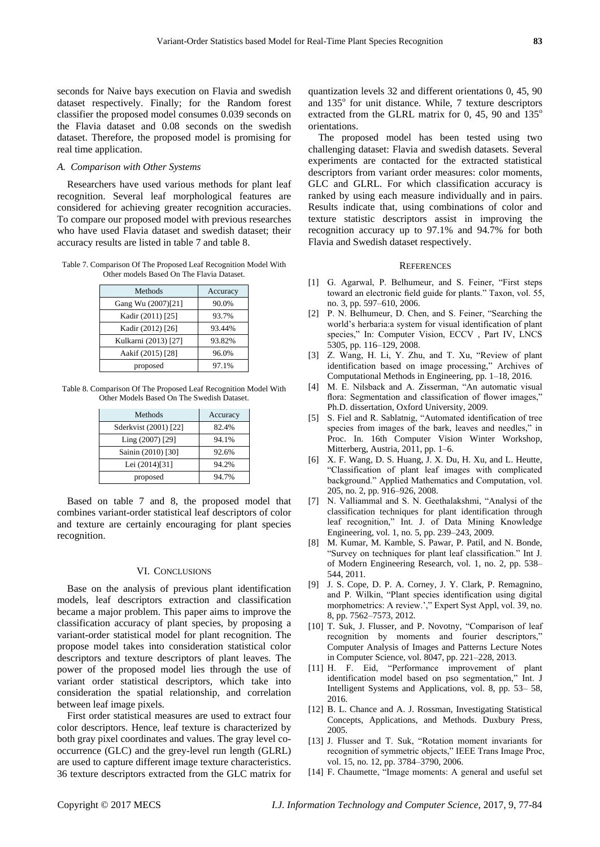seconds for Naive bays execution on Flavia and swedish dataset respectively. Finally; for the Random forest classifier the proposed model consumes 0.039 seconds on the Flavia dataset and 0.08 seconds on the swedish dataset. Therefore, the proposed model is promising for real time application.

#### *A. Comparison with Other Systems*

Researchers have used various methods for plant leaf recognition. Several leaf morphological features are considered for achieving greater recognition accuracies. To compare our proposed model with previous researches who have used Flavia dataset and swedish dataset; their accuracy results are listed in table 7 and table 8.

Table 7. Comparison Of The Proposed Leaf Recognition Model With Other models Based On The Flavia Dataset.

| Methods              | Accuracy |
|----------------------|----------|
| Gang Wu (2007)[21]   | 90.0%    |
| Kadir (2011) [25]    | 93.7%    |
| Kadir (2012) [26]    | 93.44%   |
| Kulkarni (2013) [27] | 93.82%   |
| Aakif (2015) [28]    | 96.0%    |
| proposed             | 97.1%    |

Table 8. Comparison Of The Proposed Leaf Recognition Model With Other Models Based On The Swedish Dataset.

| Methods               | Accuracy |
|-----------------------|----------|
| Sderkvist (2001) [22] | 82.4%    |
| Ling (2007) [29]      | 94.1%    |
| Sainin (2010) [30]    | 92.6%    |
| Lei (2014)[31]        | 94.2%    |
| proposed              | 94.7%    |

Based on table 7 and 8, the proposed model that combines variant-order statistical leaf descriptors of color and texture are certainly encouraging for plant species recognition.

#### VI. CONCLUSIONS

Base on the analysis of previous plant identification models, leaf descriptors extraction and classification became a major problem. This paper aims to improve the classification accuracy of plant species, by proposing a variant-order statistical model for plant recognition. The propose model takes into consideration statistical color descriptors and texture descriptors of plant leaves. The power of the proposed model lies through the use of variant order statistical descriptors, which take into consideration the spatial relationship, and correlation between leaf image pixels.

First order statistical measures are used to extract four color descriptors. Hence, leaf texture is characterized by both gray pixel coordinates and values. The gray level cooccurrence (GLC) and the grey-level run length (GLRL) are used to capture different image texture characteristics. 36 texture descriptors extracted from the GLC matrix for

quantization levels 32 and different orientations 0, 45, 90 and 135° for unit distance. While, 7 texture descriptors extracted from the GLRL matrix for 0, 45, 90 and  $135^\circ$ orientations.

The proposed model has been tested using two challenging dataset: Flavia and swedish datasets. Several experiments are contacted for the extracted statistical descriptors from variant order measures: color moments, GLC and GLRL. For which classification accuracy is ranked by using each measure individually and in pairs. Results indicate that, using combinations of color and texture statistic descriptors assist in improving the recognition accuracy up to 97.1% and 94.7% for both Flavia and Swedish dataset respectively.

#### **REFERENCES**

- [1] G. Agarwal, P. Belhumeur, and S. Feiner, "First steps toward an electronic field guide for plants." Taxon, vol. 55, no. 3, pp. 597–610, 2006.
- [2] P. N. Belhumeur, D. Chen, and S. Feiner, "Searching the world's herbaria:a system for visual identification of plant species," In: Computer Vision, ECCV, Part IV, LNCS 5305, pp. 116–129, 2008.
- [3] Z. Wang, H. Li, Y. Zhu, and T. Xu, "Review of plant identification based on image processing," Archives of Computational Methods in Engineering, pp. 1–18, 2016.
- [4] M. E. Nilsback and A. Zisserman, "An automatic visual flora: Segmentation and classification of flower images," Ph.D. dissertation, Oxford University, 2009.
- [5] S. Fiel and R. Sablatnig, "Automated identification of tree species from images of the bark, leaves and needles," in Proc. In. 16th Computer Vision Winter Workshop, Mitterberg, Austria, 2011, pp. 1–6.
- [6] X. F. Wang, D. S. Huang, J. X. Du, H. Xu, and L. Heutte, ―Classification of plant leaf images with complicated background." Applied Mathematics and Computation, vol. 205, no. 2, pp. 916–926, 2008.
- [7] N. Valliammal and S. N. Geethalakshmi, "Analysi of the classification techniques for plant identification through leaf recognition," Int. J. of Data Mining Knowledge Engineering, vol. 1, no. 5, pp. 239–243, 2009.
- [8] M. Kumar, M. Kamble, S. Pawar, P. Patil, and N. Bonde, ―Survey on techniques for plant leaf classification.‖ Int J. of Modern Engineering Research, vol. 1, no. 2, pp. 538– 544, 2011.
- [9] J. S. Cope, D. P. A. Corney, J. Y. Clark, P. Remagnino, and P. Wilkin, "Plant species identification using digital morphometrics: A review.'," Expert Syst Appl, vol. 39, no. 8, pp. 7562–7573, 2012.
- [10] T. Suk, J. Flusser, and P. Novotny, "Comparison of leaf recognition by moments and fourier descriptors," Computer Analysis of Images and Patterns Lecture Notes in Computer Science, vol. 8047, pp. 221–228, 2013.
- [11] H. F. Eid, "Performance improvement of plant identification model based on pso segmentation," Int. J Intelligent Systems and Applications, vol. 8, pp. 53– 58, 2016.
- [12] B. L. Chance and A. J. Rossman, Investigating Statistical Concepts, Applications, and Methods. Duxbury Press, 2005.
- [13] J. Flusser and T. Suk, "Rotation moment invariants for recognition of symmetric objects," IEEE Trans Image Proc, vol. 15, no. 12, pp. 3784–3790, 2006.
- [14] F. Chaumette, "Image moments: A general and useful set